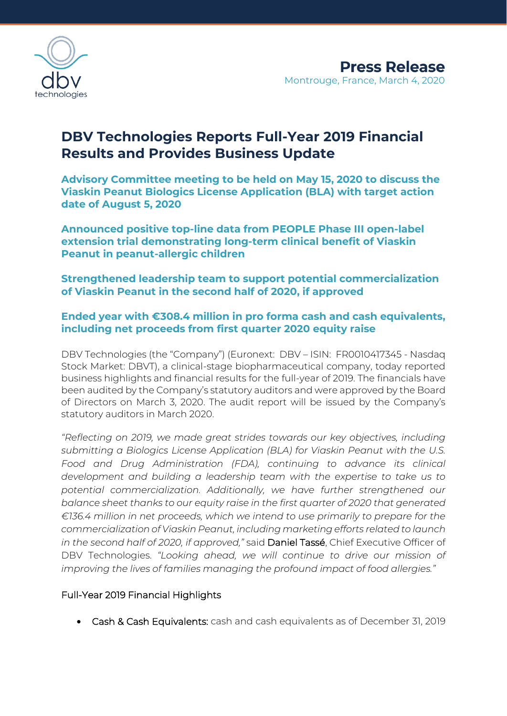

# **DBV Technologies Reports Full-Year 2019 Financial Results and Provides Business Update**

**Advisory Committee meeting to be held on May 15, 2020 to discuss the Viaskin Peanut Biologics License Application (BLA) with target action date of August 5, 2020**

**Announced positive top-line data from PEOPLE Phase III open-label extension trial demonstrating long-term clinical benefit of Viaskin Peanut in peanut-allergic children** 

**Strengthened leadership team to support potential commercialization of Viaskin Peanut in the second half of 2020, if approved**

# **Ended year with €308.4 million in pro forma cash and cash equivalents, including net proceeds from first quarter 2020 equity raise**

DBV Technologies (the "Company") (Euronext: DBV – ISIN: FR0010417345 - Nasdaq Stock Market: DBVT), a clinical-stage biopharmaceutical company, today reported business highlights and financial results for the full-year of 2019. The financials have been audited by the Company's statutory auditors and were approved by the Board of Directors on March 3, 2020. The audit report will be issued by the Company's statutory auditors in March 2020.

*"Reflecting on 2019, we made great strides towards our key objectives, including submitting a Biologics License Application (BLA) for Viaskin Peanut with the U.S. Food and Drug Administration (FDA), continuing to advance its clinical development and building a leadership team with the expertise to take us to potential commercialization. Additionally, we have further strengthened our balance sheet thanks to our equity raise in the first quarter of 2020 that generated €136.4 million in net proceeds, which we intend to use primarily to prepare for the commercialization of Viaskin Peanut, including marketing efforts related to launch in the second half of 2020, if approved,"* said Daniel Tassé, Chief Executive Officer of DBV Technologies. *"Looking ahead, we will continue to drive our mission of improving the lives of families managing the profound impact of food allergies."*

## Full-Year 2019 Financial Highlights

• Cash & Cash Equivalents: cash and cash equivalents as of December 31, 2019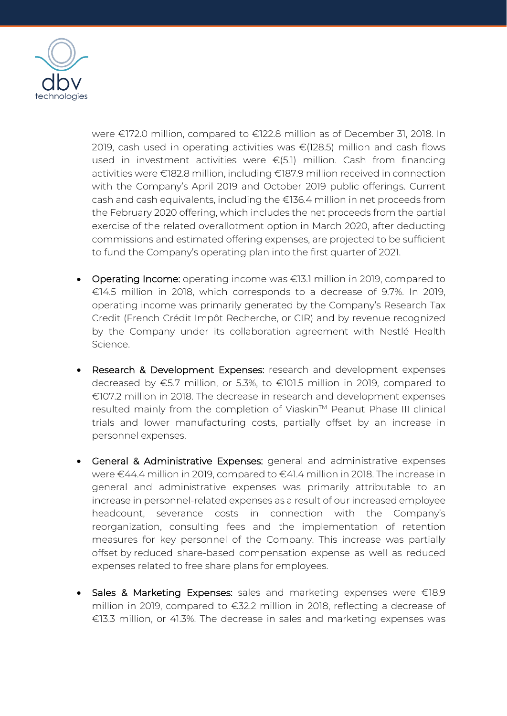

were €172.0 million, compared to €122.8 million as of December 31, 2018. In 2019, cash used in operating activities was  $\epsilon$ (128.5) million and cash flows used in investment activities were  $\epsilon$ (5.1) million. Cash from financing activities were €182.8 million, including €187.9 million received in connection with the Company's April 2019 and October 2019 public offerings. Current cash and cash equivalents, including the €136.4 million in net proceeds from the February 2020 offering, which includes the net proceeds from the partial exercise of the related overallotment option in March 2020, after deducting commissions and estimated offering expenses, are projected to be sufficient to fund the Company's operating plan into the first quarter of 2021.

- Operating Income: operating income was €13.1 million in 2019, compared to €14.5 million in 2018, which corresponds to a decrease of 9.7%. In 2019, operating income was primarily generated by the Company's Research Tax Credit (French Crédit Impôt Recherche, or CIR) and by revenue recognized by the Company under its collaboration agreement with Nestlé Health Science.
- Research & Development Expenses: research and development expenses decreased by €5.7 million, or 5.3%, to €101.5 million in 2019, compared to €107.2 million in 2018. The decrease in research and development expenses resulted mainly from the completion of Viaskin™ Peanut Phase III clinical trials and lower manufacturing costs, partially offset by an increase in personnel expenses.
- General & Administrative Expenses: general and administrative expenses were €44.4 million in 2019, compared to €41.4 million in 2018. The increase in general and administrative expenses was primarily attributable to an increase in personnel-related expenses as a result of our increased employee headcount, severance costs in connection with the Company's reorganization, consulting fees and the implementation of retention measures for key personnel of the Company. This increase was partially offset by reduced share-based compensation expense as well as reduced expenses related to free share plans for employees.
- Sales & Marketing Expenses: sales and marketing expenses were €18.9 million in 2019, compared to €32.2 million in 2018, reflecting a decrease of €13.3 million, or 41.3%. The decrease in sales and marketing expenses was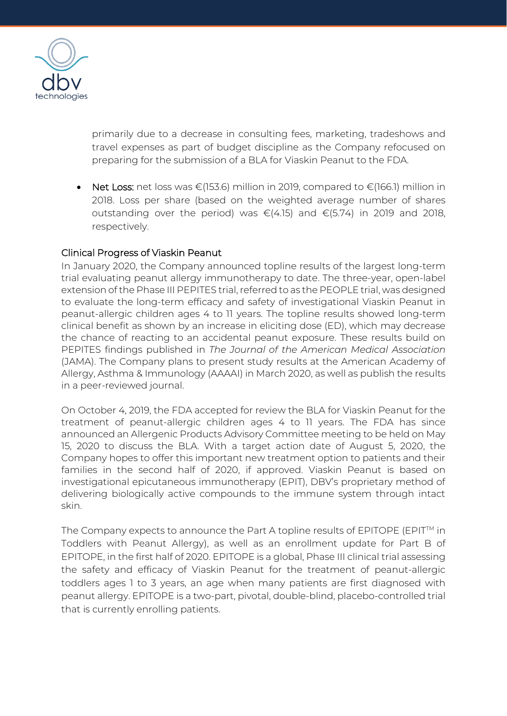

primarily due to a decrease in consulting fees, marketing, tradeshows and travel expenses as part of budget discipline as the Company refocused on preparing for the submission of a BLA for Viaskin Peanut to the FDA.

• Net Loss: net loss was €(153.6) million in 2019, compared to €(166.1) million in 2018. Loss per share (based on the weighted average number of shares outstanding over the period) was €(4.15) and €(5.74) in 2019 and 2018, respectively.

### Clinical Progress of Viaskin Peanut

In January 2020, the Company announced topline results of the largest long-term trial evaluating peanut allergy immunotherapy to date. The three-year, open-label extension of the Phase III PEPITES trial, referred to as the PEOPLE trial, was designed to evaluate the long-term efficacy and safety of investigational Viaskin Peanut in peanut-allergic children ages 4 to 11 years. The topline results showed long-term clinical benefit as shown by an increase in eliciting dose (ED), which may decrease the chance of reacting to an accidental peanut exposure. These results build on PEPITES findings published in *The Journal of the American Medical Association* (JAMA). The Company plans to present study results at the American Academy of Allergy, Asthma & Immunology (AAAAI) in March 2020, as well as publish the results in a peer-reviewed journal.

On October 4, 2019, the FDA accepted for review the BLA for Viaskin Peanut for the treatment of peanut-allergic children ages 4 to 11 years. The FDA has since announced an Allergenic Products Advisory Committee meeting to be held on May 15, 2020 to discuss the BLA. With a target action date of August 5, 2020, the Company hopes to offer this important new treatment option to patients and their families in the second half of 2020, if approved. Viaskin Peanut is based on investigational epicutaneous immunotherapy (EPIT), DBV's proprietary method of delivering biologically active compounds to the immune system through intact skin.

The Company expects to announce the Part A topline results of EPITOPE (EPIT™ in Toddlers with Peanut Allergy), as well as an enrollment update for Part B of EPITOPE, in the first half of 2020. EPITOPE is a global, Phase III clinical trial assessing the safety and efficacy of Viaskin Peanut for the treatment of peanut-allergic toddlers ages 1 to 3 years, an age when many patients are first diagnosed with peanut allergy. EPITOPE is a two-part, pivotal, double-blind, placebo-controlled trial that is currently enrolling patients.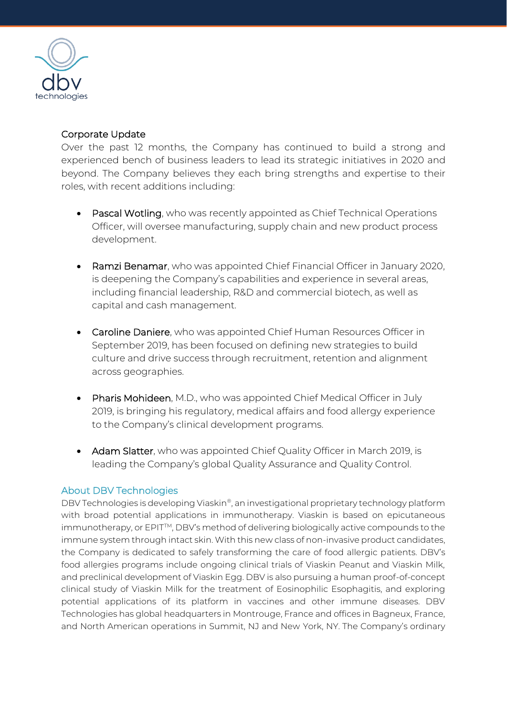

## Corporate Update

Over the past 12 months, the Company has continued to build a strong and experienced bench of business leaders to lead its strategic initiatives in 2020 and beyond. The Company believes they each bring strengths and expertise to their roles, with recent additions including:

- Pascal Wotling, who was recently appointed as Chief Technical Operations Officer, will oversee manufacturing, supply chain and new product process development.
- Ramzi Benamar, who was appointed Chief Financial Officer in January 2020, is deepening the Company's capabilities and experience in several areas, including financial leadership, R&D and commercial biotech, as well as capital and cash management.
- Caroline Daniere, who was appointed Chief Human Resources Officer in September 2019, has been focused on defining new strategies to build culture and drive success through recruitment, retention and alignment across geographies.
- Pharis Mohideen, M.D., who was appointed Chief Medical Officer in July 2019, is bringing his regulatory, medical affairs and food allergy experience to the Company's clinical development programs.
- Adam Slatter, who was appointed Chief Quality Officer in March 2019, is leading the Company's global Quality Assurance and Quality Control.

### About DBV Technologies

DBV Technologies is developing Viaskin®, an investigational proprietary technology platform with broad potential applications in immunotherapy. Viaskin is based on epicutaneous immunotherapy, or EPIT<sup>™</sup>, DBV's method of delivering biologically active compounds to the immune system through intact skin. With this new class of non-invasive product candidates, the Company is dedicated to safely transforming the care of food allergic patients. DBV's food allergies programs include ongoing clinical trials of Viaskin Peanut and Viaskin Milk, and preclinical development of Viaskin Egg. DBV is also pursuing a human proof-of-concept clinical study of Viaskin Milk for the treatment of Eosinophilic Esophagitis, and exploring potential applications of its platform in vaccines and other immune diseases. DBV Technologies has global headquarters in Montrouge, France and offices in Bagneux, France, and North American operations in Summit, NJ and New York, NY. The Company's ordinary